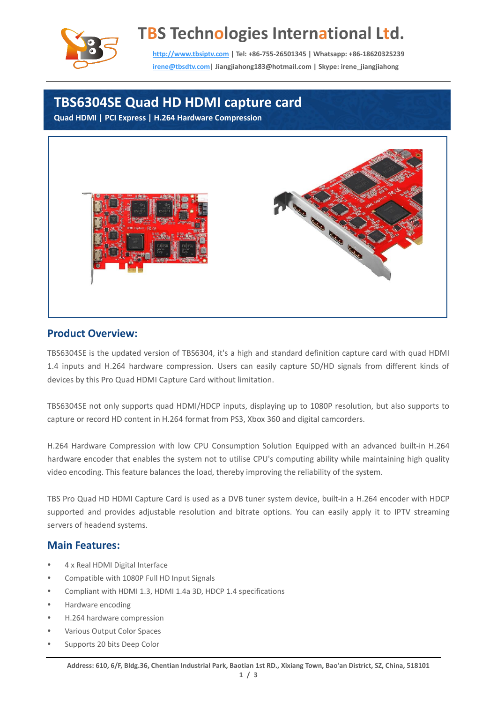

# **TBS Technologies International Ltd.**

**[http://www.tbsiptv.com](http://www.tbsiptv.com/) | Tel: +86-755-26501345 | Whatsapp: +86-18620325239 [irene@tbsdtv.com|](file:///E:/文案/irene@tbsdtv.com) Jiangjiahong183@hotmail.com | Skype: irene\_jiangjiahong**

## **TBS6304SE Quad HD HDMI capture card**

**Quad HDMI | PCI Express | H.264 Hardware Compression**



#### **Product Overview:**

TBS6304SE is the updated version of TBS6304, it's a high and standard definition capture card with quad HDMI 1.4 inputs and H.264 hardware compression. Users can easily capture SD/HD signals from different kinds of devices by this Pro Quad HDMI Capture Card without limitation.

TBS6304SE not only supports quad HDMI/HDCP inputs, displaying up to 1080P resolution, but also supports to capture or record HD content in H.264 format from PS3, Xbox 360 and digital camcorders.

H.264 Hardware Compression with low CPU Consumption Solution Equipped with an advanced built-in H.264 hardware encoder that enables the system not to utilise CPU's computing ability while maintaining high quality video encoding. This feature balances the load, thereby improving the reliability of the system.

TBS Pro Quad HD HDMI Capture Card is used as a DVB tuner system device, built-in a H.264 encoder with HDCP supported and provides adjustable resolution and bitrate options. You can easily apply it to IPTV streaming servers of headend systems.

#### **Main Features:**

- 4 x Real HDMI Digital Interface
- Compatible with 1080P Full HD Input Signals
- Compliant with HDMI 1.3, HDMI 1.4a 3D, HDCP 1.4 specifications
- Hardware encoding
- H.264 hardware compression
- Various Output Color Spaces
- Supports 20 bits Deep Color